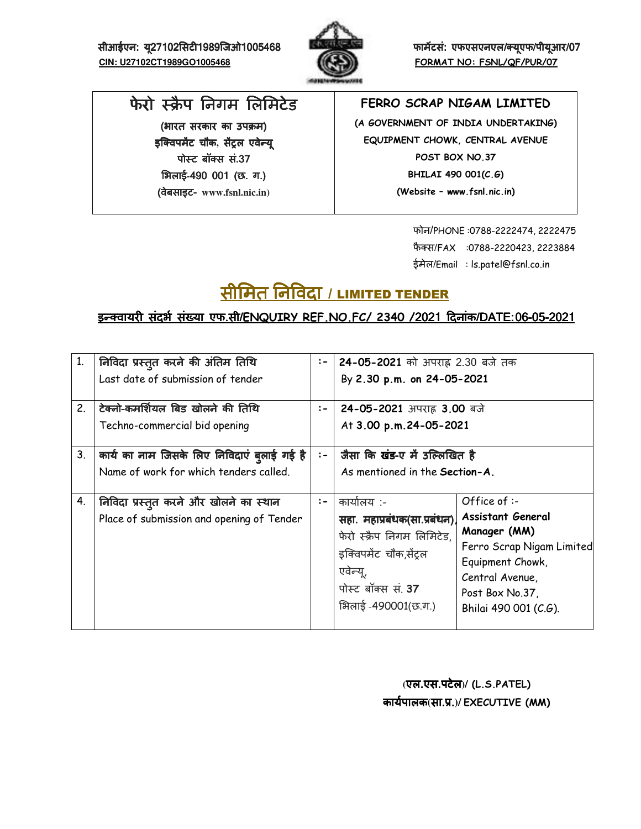सीआईएन: यू27102सिटी1989जिओ1005468 **बिल्ला करने काम्बर काम्बर्ट एफएसएनएल/क्यूएफ/पीयूआर/ 07 CIN: U27102CT1989GO1005468 FORMAT NO: FSNL/QF/PUR/07**



# फेरो स्क्रैप निगम लिमिटेड

(भारत सरकार का उपक्रम) इक्विपमेंट चौक, सेंट्रल एवेन्यू पोस्ट बॉक्स सं.37 भिलाई-490 001 (छ. ग.) (वेबसाइट (वेबसाइटवेबसाइट- **www.fsnl.nic.in)** 

### **FERRO SCRAP NIGAM LIMITED**

**(A GOVERNMENT OF INDIA UNDERTAKING) EQUIPMENT CHOWK, CENTRAL AVENUE POST BOX NO.37 BHILAI 490 001(C.G) (Website – www.fsnl.nic.in)** 

> फोन/PHONE :0788-2222474, 2222475 फैक्स/FAX :0788-2220423, 2223884 ईमेल/Email : ls.patel@fsnl.co.in

# <u>सीमित निविदा / LIMITED TENDER</u>

## इन्क्वायरी संदर्भ संख्या एफ.सी/ENQUIRY REF.NO.FC/ 2340 /2021 दिनांक/DATE: 06-05-2021

| 1 <sub>1</sub> | निविदा प्रस्तुत करने की अंतिम तिथि<br>Last date of submission of tender                       | $:-$ | 24-05-2021 को अपराह 2.30 बजे तक<br>By 2.30 p.m. on 24-05-2021                                                                                               |                                                                                                                                                                   |  |  |  |
|----------------|-----------------------------------------------------------------------------------------------|------|-------------------------------------------------------------------------------------------------------------------------------------------------------------|-------------------------------------------------------------------------------------------------------------------------------------------------------------------|--|--|--|
| 2.             | टेक्नो-कमर्शियल बिड खोलने की तिथि<br>Techno-commercial bid opening                            | $:-$ | 24-05-2021 अपराह 3.00 बजे<br>At 3.00 p.m.24-05-2021                                                                                                         |                                                                                                                                                                   |  |  |  |
| 3.             | कार्य का नाम जिसके लिए निविदाएं ब् <b>लाई गई</b> है<br>Name of work for which tenders called. | $:-$ | जैसा कि खंड-ए में उल्लिखित है<br>As mentioned in the Section-A.                                                                                             |                                                                                                                                                                   |  |  |  |
| 4.             | निविदा प्रस्तुत करने और खोलने का स्थान<br>Place of submission and opening of Tender           | $:-$ | कार्यालय :-<br>सहा. महाप्रबंधक(सा.प्रबंधन)<br>फेरो स्क्रैप निगम लिमिटेड,<br>इक्विपमेंट चौक,सेंट्रल<br>एवेन्यू,<br>पोस्ट बॉक्स सं. 37<br>भिलाई -490001(छ.ग.) | Office of :-<br>Assistant General<br>Manager (MM)<br>Ferro Scrap Nigam Limited<br>Equipment Chowk,<br>Central Avenue,<br>Post Box No.37,<br>Bhilai 490 001 (C.G). |  |  |  |

 **(**एल.एस.पटेल**)/ (L.S.PATEL)** कायAपालक**(**सा.H.**)/ EXECUTIVE (MM)**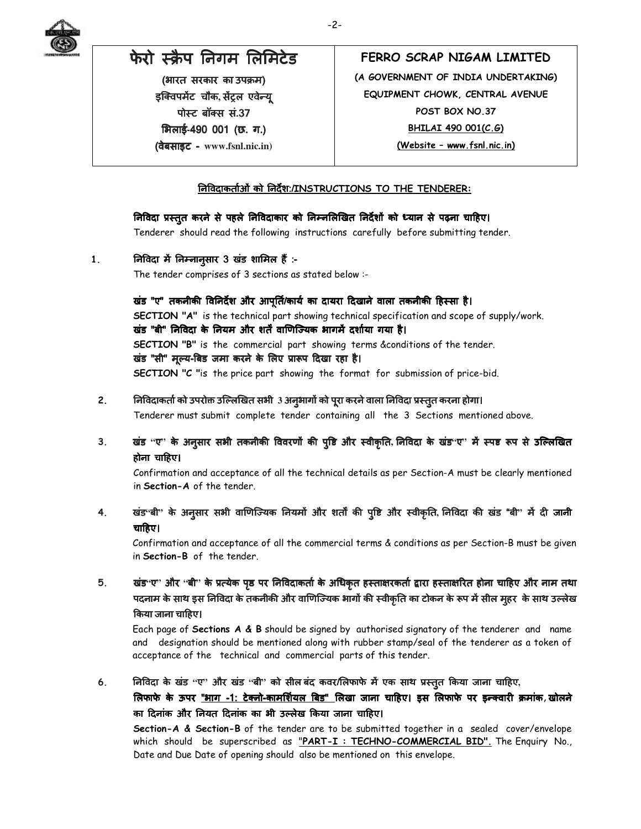

# फेरो स्क्रैप निगम लिमिटेड

(भारत सरकार का उपक्रम) इक्विपमेंट चौक, सेंट्रल एवेन्यू पोस्ट बॉक्स सं.37 भिलाई-490 001 (छ. ग.) (वेबसाइट वेबसाइट - **www.fsnl.nic.in)**

## **FERRO SCRAP NIGAM LIMITED (A GOVERNMENT OF INDIA UNDERTAKING) EQUIPMENT CHOWK, CENTRAL AVENUE POST BOX NO.37 BHILAI 490 001(C.G) (Website – www.fsnl.nic.in)**

#### )न?वदाकताAओं को )नदश:/**INSTRUCTIONS TO THE TENDERER:**

#### निविदा प्रस्तुत करने से पहले निविदाकार को निम्नलिखित निर्देशों को ध्यान से पढ़ना चाहिए।

Tenderer should read the following instructions carefully before submitting tender.

### 1. **निविदा में निम्नान्**सार 3 खंड शामिल हैं :-

The tender comprises of 3 sections as stated below :-

खंड "ए" तकनीकी विनिर्देश और आपति/कार्य का दायरा दिखाने वाला तकनीकी हिस्सा है। **SECTION "A"** is the technical part showing technical specification and scope of supply/work. खंड "बी" निविदा के नियम और शर्तें वाणिज्यिक भागमें दर्शाया गया है। **SECTION "B"** is the commercial part showing terms &conditions of the tender. खंड "सी" मूल्य-बिड जमा करने के लिए प्रारूप दिखा रहा है। **SECTION "C "**is the price part showing the format for submission of price-bid.

2. ) निविदाकर्ता को उपरोक्त उल्लिखित सभी 3 अनुभागों को पूरा करने वाला निविदा प्रस्तुत करना होगा।

Tenderer must submit complete tender containing all the 3 Sections mentioned above.

3. खंड "ए" के अन्**सार सभी तकनीकी विवरणों की पृष्टि और स्वी**कृति, निविदा के खंड"ए" मैं स्पष्ट रूप से उल्लिखित होना चाहिए।

Confirmation and acceptance of all the technical details as per Section-A must be clearly mentioned in **Section-A** of the tender.

## 4. खंड<sup>.</sup>बी' के अन्**सार सभी वाणिज्यिक नियमों और शर्तों की प्**ष्टि और स्वीकृति, निविदा की खंड "बी" में दी जानी चाहिए।

Confirmation and acceptance of all the commercial terms & conditions as per Section-B must be given in **Section-B** of the tender.

## 5. खंड"ए" और "बी" के प्रत्येक पृष्ठ पर निविदाकर्ता के अधिकृत हस्ताक्षरकर्ता द्वारा हस्ताक्षरित होना चाहिए और नाम तथा पदनाम के साथ इस निविदा के तकनीकी और वाणिज्यिक भागों की स्वीकृति का टोकन के रूप में सील मुहर के साथ उल्लेख किया जाना चाहिए।

Each page of **Sections A & B** should be signed by authorised signatory of the tenderer and name and designation should be mentioned along with rubber stamp/seal of the tenderer as a token of acceptance of the technical and commercial parts of this tender.

## 6. निविदा के खंड "ए" और खंड "बी" को सील बंद कवर/लिफाफे में एक साथ प्रस्तूत किया जाना चाहिए,

लिफाफे के ऊपर <u>"भाग -1: टेक्नो-कामर्शियल बिड" लिखा</u> जाना चाहिए। इस लिफाफे पर इन्क्वारी क्रमांक,खोलने का दिनांक और नियत दिनांक का भी उल्लेख किया जाना चाहिए।

**Section-A & Section-B** of the tender are to be submitted together in a sealed cover/envelope which should be superscribed as "**PART-I : TECHNO-COMMERCIAL BID".** The Enquiry No., Date and Due Date of opening should also be mentioned on this envelope.

-2-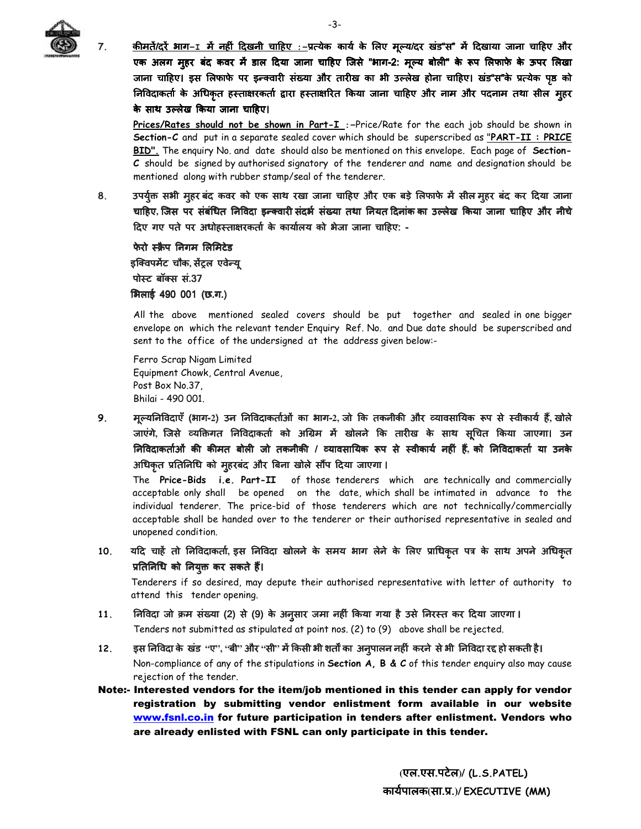

7. <u>कीमतें/दरें भाग-1 में नहीं दिखनी चाहिए :-</u>प्रत्येक कार्य के लिए मूल्य/दर खंड"स" में दिखाया जाना चाहिए और एक अलग मुहर बंद कवर में डाल दिया जाना चाहिए जिसे "भाग-2: मूल्य बोली" के रूप लिफाफे के ऊपर लिखा जाना चाहिए। इस लिफाफे पर इन्क्वारी संख्या और तारीख का भी उल्लेख होना चाहिए। खंड"स"के प्रत्येक पृष्ठ को निविदाकर्ता के अधिकृत हस्ताक्षरकर्ता द्वारा हस्ताक्षरित किया जाना चाहिए और नाम और पदनाम तथा सील मुहर के साथ उल्लेख किया जाना चाहिए।

**Prices/Rates should not be shown in Part-I** :-Price/Rate for the each job should be shown in **Section-C** and put in a separate sealed cover which should be superscribed as "**PART-II : PRICE BID".** The enquiry No. and date should also be mentioned on this envelope. Each page of **Section-C** should be signed by authorised signatory of the tenderer and name and designation should be mentioned along with rubber stamp/seal of the tenderer.

8. उपर्युक्त सभी मुहर बंद कवर को एक साथ रखा जाना चाहिए और एक बड़े लिफाफे में सील मुहर बंद कर दिया जाना चाहिए, जिस पर संबंधित निविदा इन्क्वारी संदर्भ संख्या तथा नियत दिनांक का उल्लेख किया जाना चाहिए और नीचे दिए गए पते पर अधोहस्ताक्षरकर्ता के कार्यालय को भेजा जाना चाहिए: -

फेरो स्क्रैप निगम लिमिटेड इक्विपमेंट चौक, सेंट्रल एवेन्यू पो&टबॉ!स सं बॉ!स सं**.**37 भिलाई 490 001 (छ.ग.)

All the above mentioned sealed covers should be put together and sealed in one bigger envelope on which the relevant tender Enquiry Ref. No. and Due date should be superscribed and sent to the office of the undersigned at the address given below:-

 Ferro Scrap Nigam Limited Equipment Chowk, Central Avenue, Post Box No.37, Bhilai - 490 001.

9. मल्यनिविदाएँ (भाग-2) उन निविदाकर्ताओं का भाग-2, जो कि तकनीकी और व्यावसायिक रूप से स्वीकार्य हैं, खोले जाएंगे, जिसे व्यक्तिगत निविदाकर्ता को अग्रिम में खोलने कि तारीख के साथ सूचित किया जाएगा। उन )न?वदाकताAओं )न?वदाकताAओं कJ कJमत बोल जो तकनीकJ कJमत / rयावसा)यक cप से &वीका rयावसा)यक से &वीकायA नहं ह\_ यA ह\_**,** को )न?वदाकताA या उनके अधिकृत प्रतिनिधि को मुहरबंद और बिना खोले सौंप दिया जाएगा ।

The **Price-Bids i.e. Part-II** of those tenderers which are technically and commercially acceptable only shall be opened on the date, which shall be intimated in advance to the individual tenderer. The price-bid of those tenderers which are not technically/commercially acceptable shall be handed over to the tenderer or their authorised representative in sealed and unopened condition.

10. यदि चाहें तो निविदाकर्ता, इस निविदा खोलने के समय भाग लेने के लिए प्राधिकृत पत्र के साथ अपने अधिकृत प्रतिनिधि को नियुक्त कर सकते हैं।

 Tenderers if so desired, may depute their authorised representative with letter of authority to attend this tender opening.

- 11. )निविदाजो क्रम संख्या (2) से (9) के अनुसार जमा नहीं किया गया है उसे निरस्त कर दिया जाएगा । Tenders not submitted as stipulated at point nos. (2) to (9) above shall be rejected.
- 12. इस निविदा के खंड "ए", "बी" और "सी" में किसी भी शर्तों का अनुपालन नहीं करने से भी निविदा रद्द हो सकती है। Non-compliance of any of the stipulations in **Section A, B & C** of this tender enquiry also may cause rejection of the tender.
- Note:- Interested vendors for the item/job mentioned in this tender can apply for vendor registration by submitting vendor enlistment form available in our website www.fsnl.co.in for future participation in tenders after enlistment. Vendors who are already enlisted with FSNL can only participate in this tender.

-3-

 **(**एल.एस.पटेल**)/ (L.S.PATEL)** कायAपालक**(**सा.H.**)/ EXECUTIVE (MM)**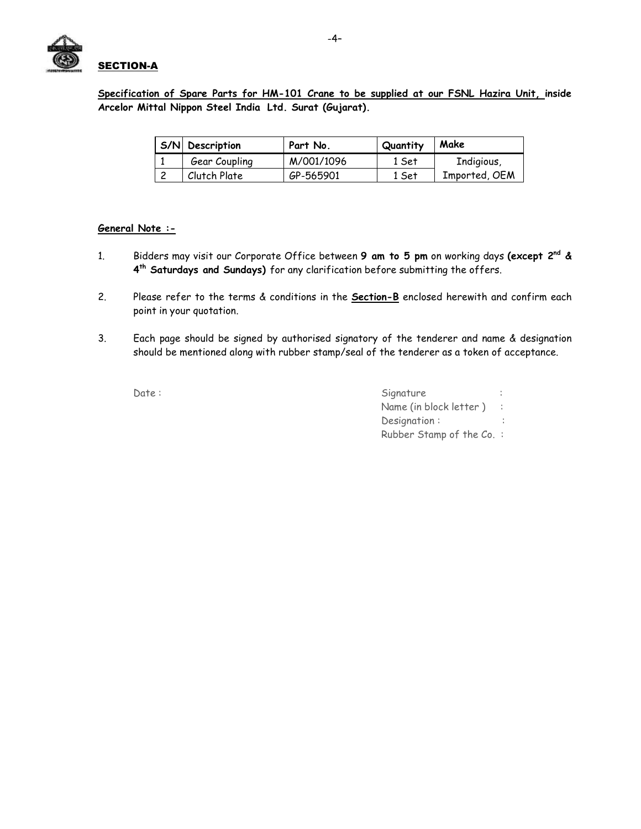

**Specification of Spare Parts for HM-101 Crane to be supplied at our FSNL Hazira Unit, inside Arcelor Mittal Nippon Steel India Ltd. Surat (Gujarat).**

| S/N Description | Part No.   | Quantity | Make          |
|-----------------|------------|----------|---------------|
| Gear Coupling   | M/001/1096 | 1 Set    | Indigious,    |
| Clutch Plate    | GP-565901  | 1 Set    | Imported, OEM |

#### **General Note :-**

- 1. Bidders may visit our Corporate Office between **9 am to 5 pm** on working days **(except 2nd & 4 th Saturdays and Sundays)** for any clarification before submitting the offers.
- 2. Please refer to the terms & conditions in the **Section-B** enclosed herewith and confirm each point in your quotation.
- 3. Each page should be signed by authorised signatory of the tenderer and name & designation should be mentioned along with rubber stamp/seal of the tenderer as a token of acceptance.

| Date: | Signature                 |
|-------|---------------------------|
|       | Name (in block letter) :  |
|       | Designation:              |
|       | Rubber Stamp of the Co. : |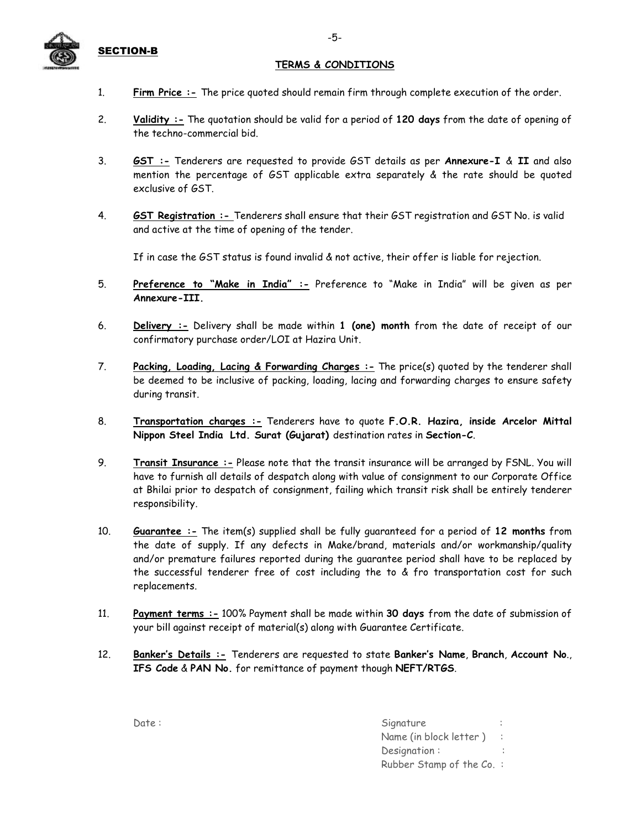

### SECTION-B

#### **TERMS & CONDITIONS**

- 1. **Firm Price :-** The price quoted should remain firm through complete execution of the order.
- 2. **Validity :-** The quotation should be valid for a period of **120 days** from the date of opening of the techno-commercial bid.
- 3. **GST :-** Tenderers are requested to provide GST details as per **Annexure-I** & **II** and also mention the percentage of GST applicable extra separately & the rate should be quoted exclusive of GST.
- 4. **GST Registration :-** Tenderers shall ensure that their GST registration and GST No. is valid and active at the time of opening of the tender.

If in case the GST status is found invalid & not active, their offer is liable for rejection.

- 5. **Preference to "Make in India" :-** Preference to "Make in India" will be given as per **Annexure-III.**
- 6. **Delivery :-** Delivery shall be made within **1 (one) month** from the date of receipt of our confirmatory purchase order/LOI at Hazira Unit.
- 7. **Packing, Loading, Lacing & Forwarding Charges :-** The price(s) quoted by the tenderer shall be deemed to be inclusive of packing, loading, lacing and forwarding charges to ensure safety during transit.
- 8. **Transportation charges :-** Tenderers have to quote **F.O.R. Hazira, inside Arcelor Mittal Nippon Steel India Ltd. Surat (Gujarat)** destination rates in **Section-C**.
- 9. **Transit Insurance :-** Please note that the transit insurance will be arranged by FSNL. You will have to furnish all details of despatch along with value of consignment to our Corporate Office at Bhilai prior to despatch of consignment, failing which transit risk shall be entirely tenderer responsibility.
- 10. **Guarantee :-** The item(s) supplied shall be fully guaranteed for a period of **12 months** from the date of supply. If any defects in Make/brand, materials and/or workmanship/quality and/or premature failures reported during the guarantee period shall have to be replaced by the successful tenderer free of cost including the to & fro transportation cost for such replacements.
- 11. **Payment terms :-** 100% Payment shall be made within **30 days** from the date of submission of your bill against receipt of material(s) along with Guarantee Certificate.
- 12. **Banker's Details :-** Tenderers are requested to state **Banker's Name**, **Branch**, **Account No**., **IFS Code** & **PAN No.** for remittance of payment though **NEFT/RTGS**.

| Date: | Signature                 |
|-------|---------------------------|
|       | Name (in block letter) :  |
|       | Designation:              |
|       | Rubber Stamp of the Co. : |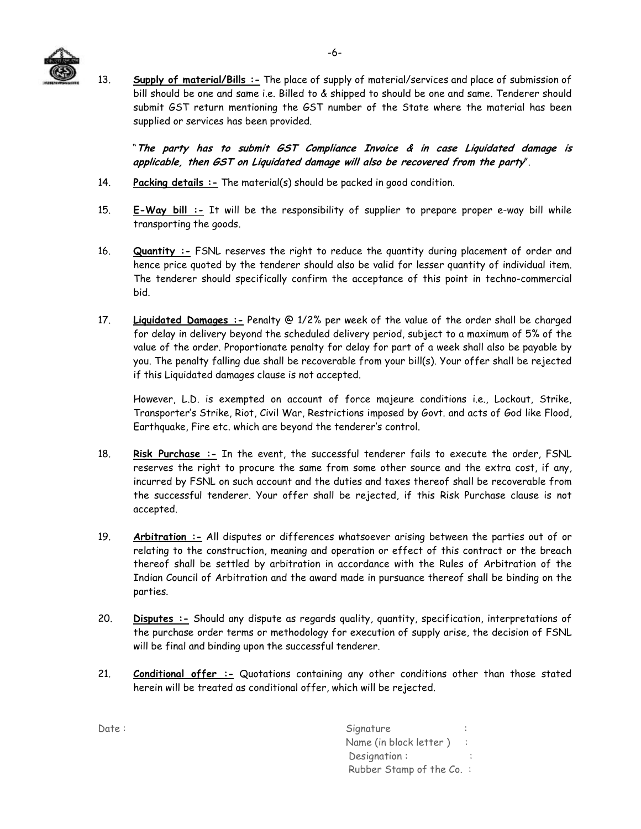

13. **Supply of material/Bills :-** The place of supply of material/services and place of submission of bill should be one and same i.e. Billed to & shipped to should be one and same. Tenderer should submit GST return mentioning the GST number of the State where the material has been supplied or services has been provided.

"**The party has to submit GST Compliance Invoice & in case Liquidated damage is applicable, then GST on Liquidated damage will also be recovered from the party**".

- 14. **Packing details :-** The material(s) should be packed in good condition.
- 15. **E-Way bill :-** It will be the responsibility of supplier to prepare proper e-way bill while transporting the goods.
- 16. **Quantity :-** FSNL reserves the right to reduce the quantity during placement of order and hence price quoted by the tenderer should also be valid for lesser quantity of individual item. The tenderer should specifically confirm the acceptance of this point in techno-commercial bid.
- 17. **Liquidated Damages :-** Penalty @ 1/2% per week of the value of the order shall be charged for delay in delivery beyond the scheduled delivery period, subject to a maximum of 5% of the value of the order. Proportionate penalty for delay for part of a week shall also be payable by you. The penalty falling due shall be recoverable from your bill(s). Your offer shall be rejected if this Liquidated damages clause is not accepted.

However, L.D. is exempted on account of force majeure conditions i.e., Lockout, Strike, Transporter's Strike, Riot, Civil War, Restrictions imposed by Govt. and acts of God like Flood, Earthquake, Fire etc. which are beyond the tenderer's control.

- 18. **Risk Purchase :-** In the event, the successful tenderer fails to execute the order, FSNL reserves the right to procure the same from some other source and the extra cost, if any, incurred by FSNL on such account and the duties and taxes thereof shall be recoverable from the successful tenderer. Your offer shall be rejected, if this Risk Purchase clause is not accepted.
- 19. **Arbitration :-** All disputes or differences whatsoever arising between the parties out of or relating to the construction, meaning and operation or effect of this contract or the breach thereof shall be settled by arbitration in accordance with the Rules of Arbitration of the Indian Council of Arbitration and the award made in pursuance thereof shall be binding on the parties.
- 20. **Disputes :-** Should any dispute as regards quality, quantity, specification, interpretations of the purchase order terms or methodology for execution of supply arise, the decision of FSNL will be final and binding upon the successful tenderer.
- 21. **Conditional offer :-** Quotations containing any other conditions other than those stated herein will be treated as conditional offer, which will be rejected.

Date : Signature : Signature : Signature : Signature : Signature : Signature : Signature : Signature : Signature : Signature : Signature : Signature : Signature : Signature : Signature : Signature : Signature : Signature : Name (in block letter) : Designation : Rubber Stamp of the Co. :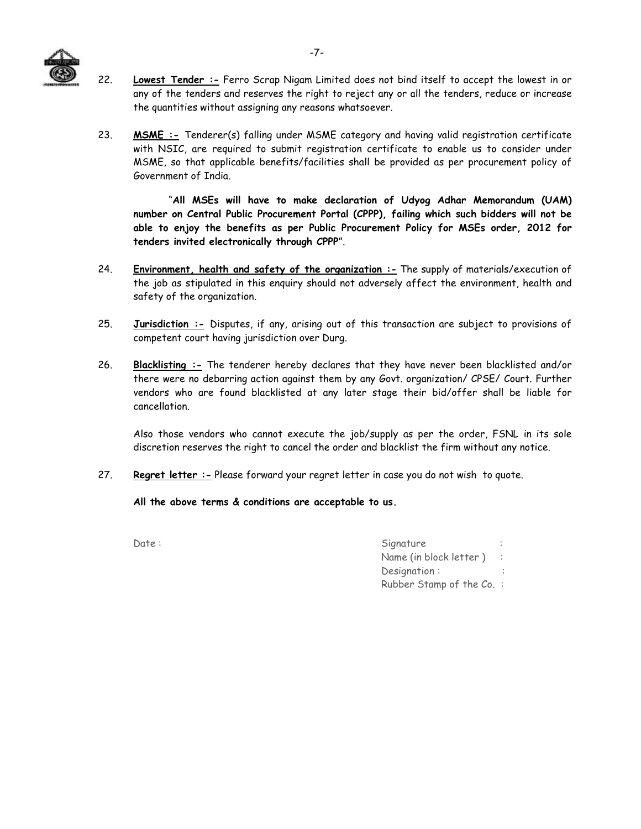

- 22. **Lowest Tender :-** Ferro Scrap Nigam Limited does not bind itself to accept the lowest in or any of the tenders and reserves the right to reject any or all the tenders, reduce or increase the quantities without assigning any reasons whatsoever.
- 23. **MSME :-** Tenderer(s) falling under MSME category and having valid registration certificate with NSIC, are required to submit registration certificate to enable us to consider under MSME, so that applicable benefits/facilities shall be provided as per procurement policy of Government of India.

"**All MSEs will have to make declaration of Udyog Adhar Memorandum (UAM) number on Central Public Procurement Portal (CPPP), failing which such bidders will not be able to enjoy the benefits as per Public Procurement Policy for MSEs order, 2012 for tenders invited electronically through CPPP**".

- 24. **Environment, health and safety of the organization :-** The supply of materials/execution of the job as stipulated in this enquiry should not adversely affect the environment, health and safety of the organization.
- 25. **Jurisdiction :-** Disputes, if any, arising out of this transaction are subject to provisions of competent court having jurisdiction over Durg.
- 26. **Blacklisting :-** The tenderer hereby declares that they have never been blacklisted and/or there were no debarring action against them by any Govt. organization/ CPSE/ Court. Further vendors who are found blacklisted at any later stage their bid/offer shall be liable for cancellation.

Also those vendors who cannot execute the job/supply as per the order, FSNL in its sole discretion reserves the right to cancel the order and blacklist the firm without any notice.

27. **Regret letter :-** Please forward your regret letter in case you do not wish to quote.

**All the above terms & conditions are acceptable to us.** 

| Date: | Signature                |
|-------|--------------------------|
|       | Name (in block letter) : |
|       | Designation:             |
|       | Rubber Stamp of the Co.: |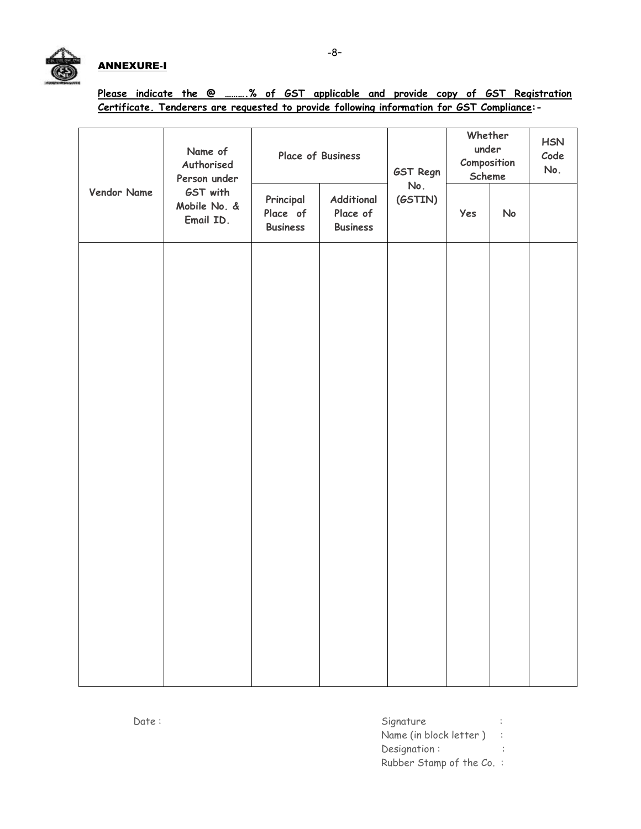## ANNEXURE-I

|  |  |  |                                                                                            |  |  | Please indicate the @ % of GST applicable and provide copy of GST Registration |
|--|--|--|--------------------------------------------------------------------------------------------|--|--|--------------------------------------------------------------------------------|
|  |  |  | Certificate. Tenderers are requested to provide following information for GST Compliance:- |  |  |                                                                                |

|             | Name of<br>Authorised<br>Person under |                                          | Place of Business                                | GST Regn<br>No.<br>(GSTIN) | Whether<br>under<br>Composition<br>Scheme | <b>HSN</b><br>Code<br>No. |  |
|-------------|---------------------------------------|------------------------------------------|--------------------------------------------------|----------------------------|-------------------------------------------|---------------------------|--|
| Vendor Name | GST with<br>Mobile No. &<br>Email ID. | Principal<br>Place of<br><b>Business</b> | <b>Additional</b><br>Place of<br><b>Business</b> |                            | Yes                                       | No                        |  |
|             |                                       |                                          |                                                  |                            |                                           |                           |  |
|             |                                       |                                          |                                                  |                            |                                           |                           |  |
|             |                                       |                                          |                                                  |                            |                                           |                           |  |
|             |                                       |                                          |                                                  |                            |                                           |                           |  |
|             |                                       |                                          |                                                  |                            |                                           |                           |  |
|             |                                       |                                          |                                                  |                            |                                           |                           |  |
|             |                                       |                                          |                                                  |                            |                                           |                           |  |
|             |                                       |                                          |                                                  |                            |                                           |                           |  |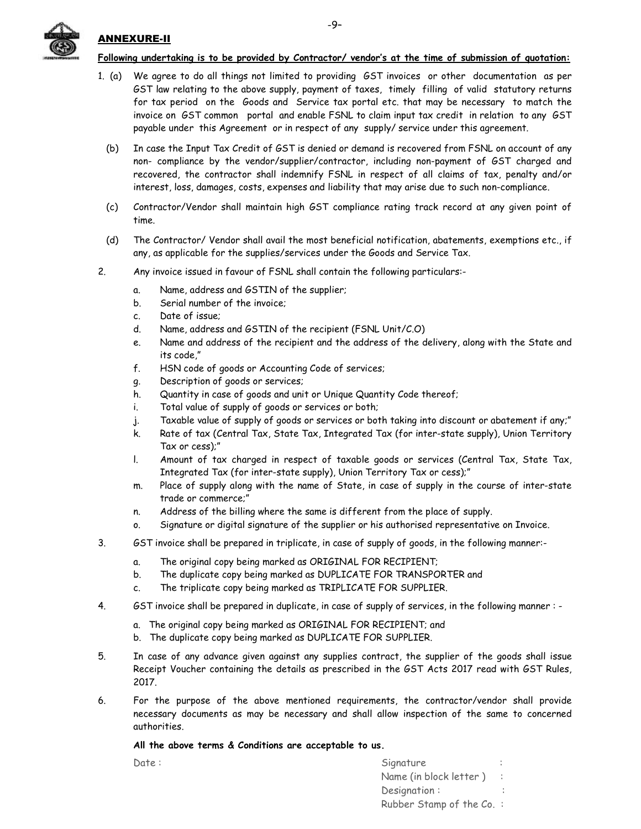

#### ANNEXURE-II

#### **Following undertaking is to be provided by Contractor/ vendor's at the time of submission of quotation:**

- 1. (a) We agree to do all things not limited to providing GST invoices or other documentation as per GST law relating to the above supply, payment of taxes, timely filling of valid statutory returns for tax period on the Goods and Service tax portal etc. that may be necessary to match the invoice on GST common portal and enable FSNL to claim input tax credit in relation to any GST payable under this Agreement or in respect of any supply/ service under this agreement.
	- (b) In case the Input Tax Credit of GST is denied or demand is recovered from FSNL on account of any non- compliance by the vendor/supplier/contractor, including non-payment of GST charged and recovered, the contractor shall indemnify FSNL in respect of all claims of tax, penalty and/or interest, loss, damages, costs, expenses and liability that may arise due to such non-compliance.
	- (c) Contractor/Vendor shall maintain high GST compliance rating track record at any given point of time.
	- (d) The Contractor/ Vendor shall avail the most beneficial notification, abatements, exemptions etc., if any, as applicable for the supplies/services under the Goods and Service Tax.
- 2. Any invoice issued in favour of FSNL shall contain the following particulars:
	- a. Name, address and GSTIN of the supplier;
	- b. Serial number of the invoice;
	- c. Date of issue;
	- d. Name, address and GSTIN of the recipient (FSNL Unit/C.O)
	- e. Name and address of the recipient and the address of the delivery, along with the State and its code,"
	- f. HSN code of goods or Accounting Code of services;
	- g. Description of goods or services;
	- h. Quantity in case of goods and unit or Unique Quantity Code thereof;
	- i. Total value of supply of goods or services or both;
	- j. Taxable value of supply of goods or services or both taking into discount or abatement if any;"
	- k. Rate of tax (Central Tax, State Tax, Integrated Tax (for inter-state supply), Union Territory Tax or cess);"
	- l. Amount of tax charged in respect of taxable goods or services (Central Tax, State Tax, Integrated Tax (for inter-state supply), Union Territory Tax or cess);"
	- m. Place of supply along with the name of State, in case of supply in the course of inter-state trade or commerce;"
	- n. Address of the billing where the same is different from the place of supply.
	- o. Signature or digital signature of the supplier or his authorised representative on Invoice.
- 3. GST invoice shall be prepared in triplicate, in case of supply of goods, in the following manner:
	- a. The original copy being marked as ORIGINAL FOR RECIPIENT;
	- b. The duplicate copy being marked as DUPLICATE FOR TRANSPORTER and
	- c. The triplicate copy being marked as TRIPLICATE FOR SUPPLIER.
- 4. GST invoice shall be prepared in duplicate, in case of supply of services, in the following manner :
	- a. The original copy being marked as ORIGINAL FOR RECIPIENT; and
	- b. The duplicate copy being marked as DUPLICATE FOR SUPPLIER.
- 5. In case of any advance given against any supplies contract, the supplier of the goods shall issue Receipt Voucher containing the details as prescribed in the GST Acts 2017 read with GST Rules, 2017.
- 6. For the purpose of the above mentioned requirements, the contractor/vendor shall provide necessary documents as may be necessary and shall allow inspection of the same to concerned authorities.

#### **All the above terms & Conditions are acceptable to us.**

| Date : | Signature                |  |
|--------|--------------------------|--|
|        | Name (in block letter) : |  |
|        | Designation:             |  |
|        | Rubber Stamp of the Co.: |  |
|        |                          |  |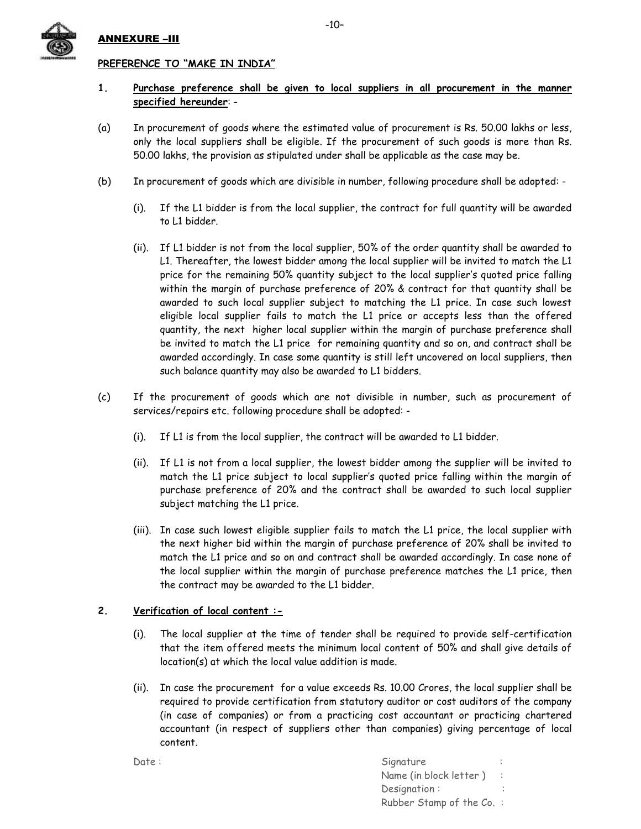

#### ANNEXURE –III

#### **PREFERENCE TO "MAKE IN INDIA"**

- **1. Purchase preference shall be given to local suppliers in all procurement in the manner specified hereunder**: -
- (a) In procurement of goods where the estimated value of procurement is Rs. 50.00 lakhs or less, only the local suppliers shall be eligible. If the procurement of such goods is more than Rs. 50.00 lakhs, the provision as stipulated under shall be applicable as the case may be.
- (b) In procurement of goods which are divisible in number, following procedure shall be adopted:
	- (i). If the L1 bidder is from the local supplier, the contract for full quantity will be awarded to L1 bidder.
	- (ii). If L1 bidder is not from the local supplier, 50% of the order quantity shall be awarded to L1. Thereafter, the lowest bidder among the local supplier will be invited to match the L1 price for the remaining 50% quantity subject to the local supplier's quoted price falling within the margin of purchase preference of 20% & contract for that quantity shall be awarded to such local supplier subject to matching the L1 price. In case such lowest eligible local supplier fails to match the L1 price or accepts less than the offered quantity, the next higher local supplier within the margin of purchase preference shall be invited to match the L1 price for remaining quantity and so on, and contract shall be awarded accordingly. In case some quantity is still left uncovered on local suppliers, then such balance quantity may also be awarded to L1 bidders.
- (c) If the procurement of goods which are not divisible in number, such as procurement of services/repairs etc. following procedure shall be adopted: -
	- (i). If L1 is from the local supplier, the contract will be awarded to L1 bidder.
	- (ii). If L1 is not from a local supplier, the lowest bidder among the supplier will be invited to match the L1 price subject to local supplier's quoted price falling within the margin of purchase preference of 20% and the contract shall be awarded to such local supplier subject matching the L1 price.
	- (iii). In case such lowest eligible supplier fails to match the L1 price, the local supplier with the next higher bid within the margin of purchase preference of 20% shall be invited to match the L1 price and so on and contract shall be awarded accordingly. In case none of the local supplier within the margin of purchase preference matches the L1 price, then the contract may be awarded to the L1 bidder.

#### **2. Verification of local content :-**

- (i). The local supplier at the time of tender shall be required to provide self-certification that the item offered meets the minimum local content of 50% and shall give details of location(s) at which the local value addition is made.
- (ii). In case the procurement for a value exceeds Rs. 10.00 Crores, the local supplier shall be required to provide certification from statutory auditor or cost auditors of the company (in case of companies) or from a practicing cost accountant or practicing chartered accountant (in respect of suppliers other than companies) giving percentage of local content.

Date : Signature : Signature : Signature : Signature : Signature : Signature : Signature : Signature : Signature : Signature : Signature : Signature : Signature : Signature : Signature : Signature : Signature : Signature : Name (in block letter) : Designation : Rubber Stamp of the Co. :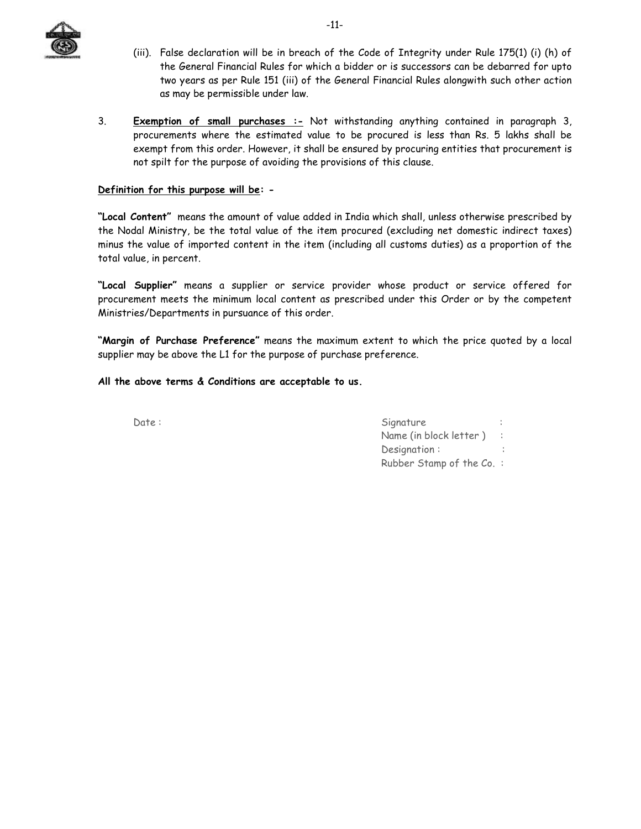

- (iii). False declaration will be in breach of the Code of Integrity under Rule 175(1) (i) (h) of the General Financial Rules for which a bidder or is successors can be debarred for upto two years as per Rule 151 (iii) of the General Financial Rules alongwith such other action as may be permissible under law.
- 3. **Exemption of small purchases :-** Not withstanding anything contained in paragraph 3, procurements where the estimated value to be procured is less than Rs. 5 lakhs shall be exempt from this order. However, it shall be ensured by procuring entities that procurement is not spilt for the purpose of avoiding the provisions of this clause.

#### **Definition for this purpose will be: -**

**"Local Content"** means the amount of value added in India which shall, unless otherwise prescribed by the Nodal Ministry, be the total value of the item procured (excluding net domestic indirect taxes) minus the value of imported content in the item (including all customs duties) as a proportion of the total value, in percent.

**"Local Supplier"** means a supplier or service provider whose product or service offered for procurement meets the minimum local content as prescribed under this Order or by the competent Ministries/Departments in pursuance of this order.

**"Margin of Purchase Preference"** means the maximum extent to which the price quoted by a local supplier may be above the L1 for the purpose of purchase preference.

#### **All the above terms & Conditions are acceptable to us.**

| Date: | Signature                     |
|-------|-------------------------------|
|       | Name (in block letter) $\; :$ |
|       | Designation:                  |
|       | Rubber Stamp of the Co. :     |